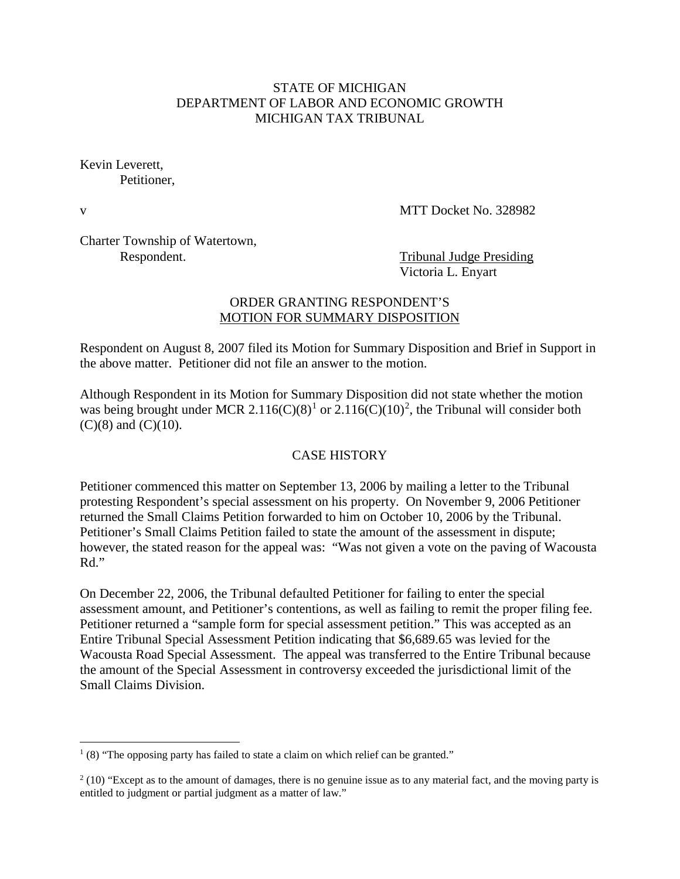### STATE OF MICHIGAN DEPARTMENT OF LABOR AND ECONOMIC GROWTH MICHIGAN TAX TRIBUNAL

Kevin Leverett, Petitioner,

v MTT Docket No. 328982

Charter Township of Watertown, Respondent. Tribunal Judge Presiding

Victoria L. Enyart

## ORDER GRANTING RESPONDENT'S MOTION FOR SUMMARY DISPOSITION

Respondent on August 8, 2007 filed its Motion for Summary Disposition and Brief in Support in the above matter. Petitioner did not file an answer to the motion.

Although Respondent in its Motion for Summary Disposition did not state whether the motion was being brought under MCR 2.[1](#page-0-0)16(C)(8)<sup>1</sup> or [2](#page-0-1).116(C)(10)<sup>2</sup>, the Tribunal will consider both  $(C)(8)$  and  $(C)(10)$ .

#### CASE HISTORY

Petitioner commenced this matter on September 13, 2006 by mailing a letter to the Tribunal protesting Respondent's special assessment on his property. On November 9, 2006 Petitioner returned the Small Claims Petition forwarded to him on October 10, 2006 by the Tribunal. Petitioner's Small Claims Petition failed to state the amount of the assessment in dispute; however, the stated reason for the appeal was: "Was not given a vote on the paving of Wacousta Rd."

On December 22, 2006, the Tribunal defaulted Petitioner for failing to enter the special assessment amount, and Petitioner's contentions, as well as failing to remit the proper filing fee. Petitioner returned a "sample form for special assessment petition." This was accepted as an Entire Tribunal Special Assessment Petition indicating that \$6,689.65 was levied for the Wacousta Road Special Assessment. The appeal was transferred to the Entire Tribunal because the amount of the Special Assessment in controversy exceeded the jurisdictional limit of the Small Claims Division.

<span id="page-0-0"></span> $1(8)$  "The opposing party has failed to state a claim on which relief can be granted."

<span id="page-0-1"></span> $2(10)$  "Except as to the amount of damages, there is no genuine issue as to any material fact, and the moving party is entitled to judgment or partial judgment as a matter of law."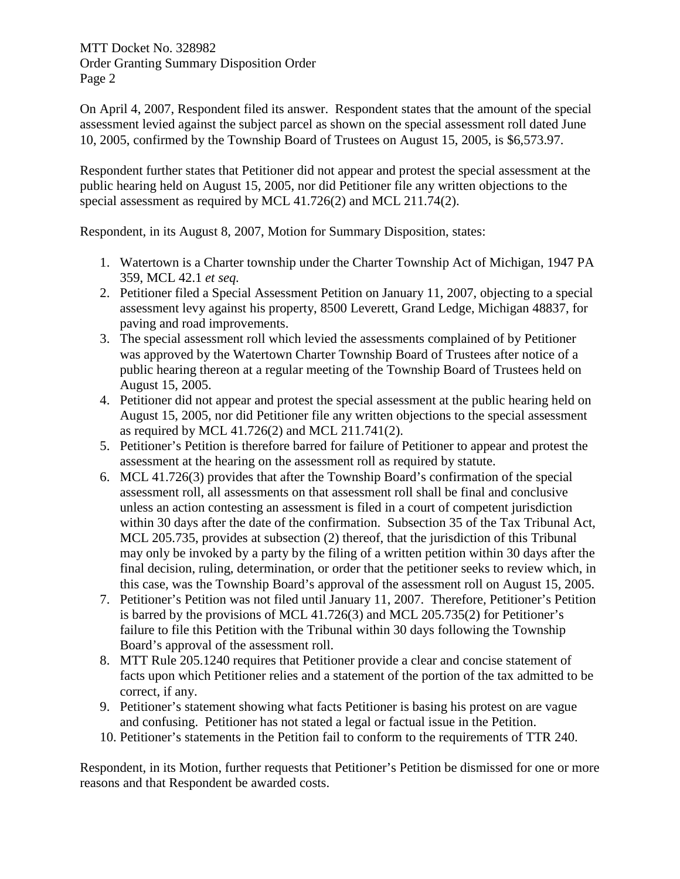On April 4, 2007, Respondent filed its answer. Respondent states that the amount of the special assessment levied against the subject parcel as shown on the special assessment roll dated June 10, 2005, confirmed by the Township Board of Trustees on August 15, 2005, is \$6,573.97.

Respondent further states that Petitioner did not appear and protest the special assessment at the public hearing held on August 15, 2005, nor did Petitioner file any written objections to the special assessment as required by MCL 41.726(2) and MCL 211.74(2).

Respondent, in its August 8, 2007, Motion for Summary Disposition, states:

- 1. Watertown is a Charter township under the Charter Township Act of Michigan, 1947 PA 359, MCL 42.1 *et seq.*
- 2. Petitioner filed a Special Assessment Petition on January 11, 2007, objecting to a special assessment levy against his property, 8500 Leverett, Grand Ledge, Michigan 48837, for paving and road improvements.
- 3. The special assessment roll which levied the assessments complained of by Petitioner was approved by the Watertown Charter Township Board of Trustees after notice of a public hearing thereon at a regular meeting of the Township Board of Trustees held on August 15, 2005.
- 4. Petitioner did not appear and protest the special assessment at the public hearing held on August 15, 2005, nor did Petitioner file any written objections to the special assessment as required by MCL 41.726(2) and MCL 211.741(2).
- 5. Petitioner's Petition is therefore barred for failure of Petitioner to appear and protest the assessment at the hearing on the assessment roll as required by statute.
- 6. MCL 41.726(3) provides that after the Township Board's confirmation of the special assessment roll, all assessments on that assessment roll shall be final and conclusive unless an action contesting an assessment is filed in a court of competent jurisdiction within 30 days after the date of the confirmation. Subsection 35 of the Tax Tribunal Act, MCL 205.735, provides at subsection (2) thereof, that the jurisdiction of this Tribunal may only be invoked by a party by the filing of a written petition within 30 days after the final decision, ruling, determination, or order that the petitioner seeks to review which, in this case, was the Township Board's approval of the assessment roll on August 15, 2005.
- 7. Petitioner's Petition was not filed until January 11, 2007. Therefore, Petitioner's Petition is barred by the provisions of MCL 41.726(3) and MCL 205.735(2) for Petitioner's failure to file this Petition with the Tribunal within 30 days following the Township Board's approval of the assessment roll.
- 8. MTT Rule 205.1240 requires that Petitioner provide a clear and concise statement of facts upon which Petitioner relies and a statement of the portion of the tax admitted to be correct, if any.
- 9. Petitioner's statement showing what facts Petitioner is basing his protest on are vague and confusing. Petitioner has not stated a legal or factual issue in the Petition.
- 10. Petitioner's statements in the Petition fail to conform to the requirements of TTR 240.

Respondent, in its Motion, further requests that Petitioner's Petition be dismissed for one or more reasons and that Respondent be awarded costs.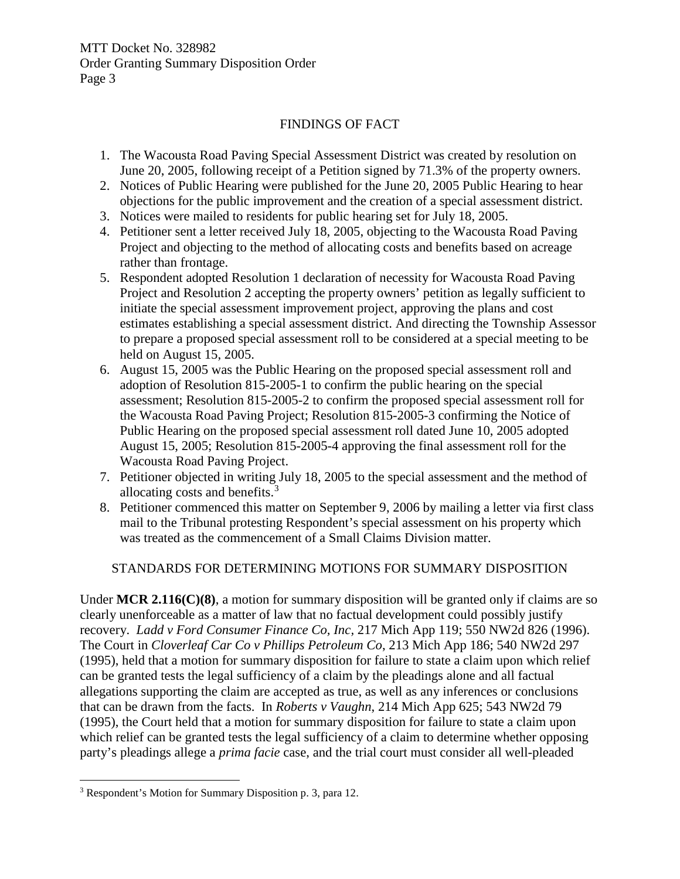# FINDINGS OF FACT

- 1. The Wacousta Road Paving Special Assessment District was created by resolution on June 20, 2005, following receipt of a Petition signed by 71.3% of the property owners.
- 2. Notices of Public Hearing were published for the June 20, 2005 Public Hearing to hear objections for the public improvement and the creation of a special assessment district.
- 3. Notices were mailed to residents for public hearing set for July 18, 2005.
- 4. Petitioner sent a letter received July 18, 2005, objecting to the Wacousta Road Paving Project and objecting to the method of allocating costs and benefits based on acreage rather than frontage.
- 5. Respondent adopted Resolution 1 declaration of necessity for Wacousta Road Paving Project and Resolution 2 accepting the property owners' petition as legally sufficient to initiate the special assessment improvement project, approving the plans and cost estimates establishing a special assessment district. And directing the Township Assessor to prepare a proposed special assessment roll to be considered at a special meeting to be held on August 15, 2005.
- 6. August 15, 2005 was the Public Hearing on the proposed special assessment roll and adoption of Resolution 815-2005-1 to confirm the public hearing on the special assessment; Resolution 815-2005-2 to confirm the proposed special assessment roll for the Wacousta Road Paving Project; Resolution 815-2005-3 confirming the Notice of Public Hearing on the proposed special assessment roll dated June 10, 2005 adopted August 15, 2005; Resolution 815-2005-4 approving the final assessment roll for the Wacousta Road Paving Project.
- 7. Petitioner objected in writing July 18, 2005 to the special assessment and the method of allocating costs and benefits. $3$
- 8. Petitioner commenced this matter on September 9, 2006 by mailing a letter via first class mail to the Tribunal protesting Respondent's special assessment on his property which was treated as the commencement of a Small Claims Division matter.

## STANDARDS FOR DETERMINING MOTIONS FOR SUMMARY DISPOSITION

Under **MCR 2.116(C)(8)**, a motion for summary disposition will be granted only if claims are so clearly unenforceable as a matter of law that no factual development could possibly justify recovery. *Ladd v Ford Consumer Finance Co, Inc,* 217 Mich App 119; 550 NW2d 826 (1996). The Court in *Cloverleaf Car Co v Phillips Petroleum Co*, 213 Mich App 186; 540 NW2d 297 (1995), held that a motion for summary disposition for failure to state a claim upon which relief can be granted tests the legal sufficiency of a claim by the pleadings alone and all factual allegations supporting the claim are accepted as true, as well as any inferences or conclusions that can be drawn from the facts. In *Roberts v Vaughn*, 214 Mich App 625; 543 NW2d 79 (1995), the Court held that a motion for summary disposition for failure to state a claim upon which relief can be granted tests the legal sufficiency of a claim to determine whether opposing party's pleadings allege a *prima facie* case, and the trial court must consider all well-pleaded

<span id="page-2-0"></span> <sup>3</sup> Respondent's Motion for Summary Disposition p. 3, para 12.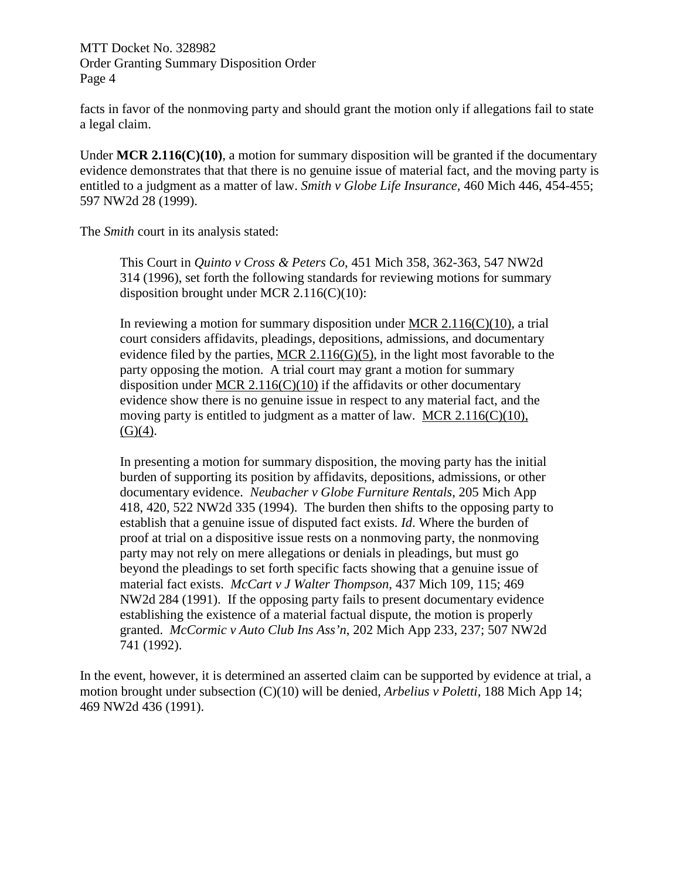facts in favor of the nonmoving party and should grant the motion only if allegations fail to state a legal claim.

Under **MCR 2.116(C)(10)**, a motion for summary disposition will be granted if the documentary evidence demonstrates that that there is no genuine issue of material fact, and the moving party is entitled to a judgment as a matter of law. *Smith v Globe Life Insurance,* 460 Mich 446, 454-455; 597 NW2d 28 (1999).

The *Smith* court in its analysis stated:

This Court in *Quinto v Cross & Peters Co*, 451 Mich 358, 362-363, 547 NW2d 314 (1996), set forth the following standards for reviewing motions for summary disposition brought under MCR 2.116(C)(10):

In reviewing a motion for summary disposition under  $MCR$  2.116(C)(10), a trial court considers affidavits, pleadings, depositions, admissions, and documentary evidence filed by the parties, MCR  $2.116(G)(5)$ , in the light most favorable to the party opposing the motion. A trial court may grant a motion for summary disposition under MCR 2.116(C)(10) if the affidavits or other documentary evidence show there is no genuine issue in respect to any material fact, and the moving party is entitled to judgment as a matter of law. MCR 2.116(C)(10),  $(G)(4)$ .

In presenting a motion for summary disposition, the moving party has the initial burden of supporting its position by affidavits, depositions, admissions, or other documentary evidence. *Neubacher v Globe Furniture Rentals*, 205 Mich App 418, 420, 522 NW2d 335 (1994). The burden then shifts to the opposing party to establish that a genuine issue of disputed fact exists. *Id*. Where the burden of proof at trial on a dispositive issue rests on a nonmoving party, the nonmoving party may not rely on mere allegations or denials in pleadings, but must go beyond the pleadings to set forth specific facts showing that a genuine issue of material fact exists. *McCart v J Walter Thompson*, 437 Mich 109, 115; 469 NW2d 284 (1991). If the opposing party fails to present documentary evidence establishing the existence of a material factual dispute, the motion is properly granted. *McCormic v Auto Club Ins Ass'n*, 202 Mich App 233, 237; 507 NW2d 741 (1992).

In the event, however, it is determined an asserted claim can be supported by evidence at trial, a motion brought under subsection (C)(10) will be denied, *Arbelius v Poletti,* 188 Mich App 14; 469 NW2d 436 (1991).